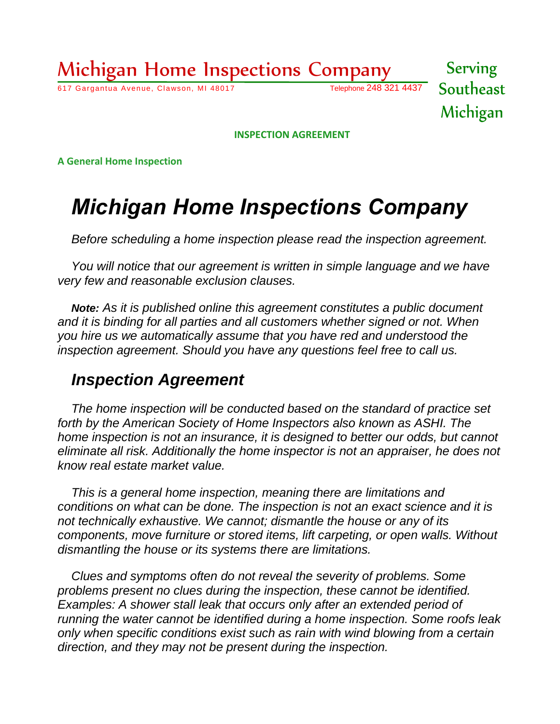## Michigan Home Inspections Company

617 Gargantua Avenue, Clawson, MI 48017 Telephone 248 321 4437

Serving Southeast Michigan

**INSPECTION AGREEMENT**

**A General Home Inspection**

# *Michigan Home Inspections Company*

*Before scheduling a home inspection please read the inspection agreement.*

*You will notice that our agreement is written in simple language and we have very few and reasonable exclusion clauses.*

*Note: As it is published online this agreement constitutes a public document and it is binding for all parties and all customers whether signed or not. When you hire us we automatically assume that you have red and understood the inspection agreement. Should you have any questions feel free to call us.* 

## *Inspection Agreement*

*The home inspection will be conducted based on the standard of practice set forth by the American Society of Home Inspectors also known as ASHI. The home inspection is not an insurance, it is designed to better our odds, but cannot eliminate all risk. Additionally the home inspector is not an appraiser, he does not know real estate market value.*

*This is a general home inspection, meaning there are limitations and conditions on what can be done. The inspection is not an exact science and it is not technically exhaustive. We cannot; dismantle the house or any of its components, move furniture or stored items, lift carpeting, or open walls. Without dismantling the house or its systems there are limitations.*

*Clues and symptoms often do not reveal the severity of problems. Some problems present no clues during the inspection, these cannot be identified. Examples: A shower stall leak that occurs only after an extended period of running the water cannot be identified during a home inspection. Some roofs leak only when specific conditions exist such as rain with wind blowing from a certain direction, and they may not be present during the inspection.*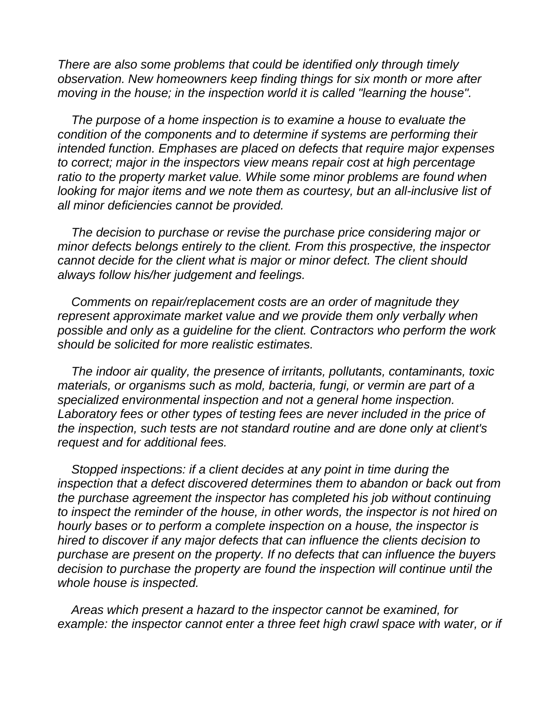*There are also some problems that could be identified only through timely observation. New homeowners keep finding things for six month or more after moving in the house; in the inspection world it is called "learning the house".*

*The purpose of a home inspection is to examine a house to evaluate the condition of the components and to determine if systems are performing their intended function. Emphases are placed on defects that require major expenses to correct; major in the inspectors view means repair cost at high percentage ratio to the property market value. While some minor problems are found when looking for major items and we note them as courtesy, but an all-inclusive list of all minor deficiencies cannot be provided.*

*The decision to purchase or revise the purchase price considering major or minor defects belongs entirely to the client. From this prospective, the inspector cannot decide for the client what is major or minor defect. The client should always follow his/her judgement and feelings.*

*Comments on repair/replacement costs are an order of magnitude they represent approximate market value and we provide them only verbally when possible and only as a guideline for the client. Contractors who perform the work should be solicited for more realistic estimates.*

*The indoor air quality, the presence of irritants, pollutants, contaminants, toxic materials, or organisms such as mold, bacteria, fungi, or vermin are part of a specialized environmental inspection and not a general home inspection. Laboratory fees or other types of testing fees are never included in the price of the inspection, such tests are not standard routine and are done only at client's request and for additional fees.*

*Stopped inspections: if a client decides at any point in time during the inspection that a defect discovered determines them to abandon or back out from the purchase agreement the inspector has completed his job without continuing to inspect the reminder of the house, in other words, the inspector is not hired on hourly bases or to perform a complete inspection on a house, the inspector is hired to discover if any major defects that can influence the clients decision to purchase are present on the property. If no defects that can influence the buyers decision to purchase the property are found the inspection will continue until the whole house is inspected.*

*Areas which present a hazard to the inspector cannot be examined, for*  example: the inspector cannot enter a three feet high crawl space with water, or if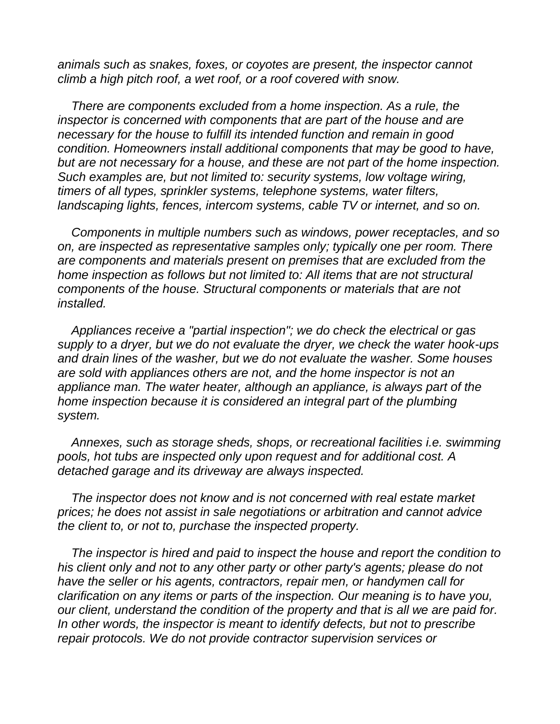*animals such as snakes, foxes, or coyotes are present, the inspector cannot climb a high pitch roof, a wet roof, or a roof covered with snow.*

*There are components excluded from a home inspection. As a rule, the inspector is concerned with components that are part of the house and are necessary for the house to fulfill its intended function and remain in good condition. Homeowners install additional components that may be good to have, but are not necessary for a house, and these are not part of the home inspection. Such examples are, but not limited to: security systems, low voltage wiring, timers of all types, sprinkler systems, telephone systems, water filters, landscaping lights, fences, intercom systems, cable TV or internet, and so on.*

*Components in multiple numbers such as windows, power receptacles, and so on, are inspected as representative samples only; typically one per room. There are components and materials present on premises that are excluded from the home inspection as follows but not limited to: All items that are not structural components of the house. Structural components or materials that are not installed.*

*Appliances receive a "partial inspection"; we do check the electrical or gas supply to a dryer, but we do not evaluate the dryer, we check the water hook-ups and drain lines of the washer, but we do not evaluate the washer. Some houses are sold with appliances others are not, and the home inspector is not an appliance man. The water heater, although an appliance, is always part of the home inspection because it is considered an integral part of the plumbing system.*

*Annexes, such as storage sheds, shops, or recreational facilities i.e. swimming pools, hot tubs are inspected only upon request and for additional cost. A detached garage and its driveway are always inspected.*

*The inspector does not know and is not concerned with real estate market prices; he does not assist in sale negotiations or arbitration and cannot advice the client to, or not to, purchase the inspected property.*

*The inspector is hired and paid to inspect the house and report the condition to his client only and not to any other party or other party's agents; please do not have the seller or his agents, contractors, repair men, or handymen call for clarification on any items or parts of the inspection. Our meaning is to have you, our client, understand the condition of the property and that is all we are paid for. In other words, the inspector is meant to identify defects, but not to prescribe repair protocols. We do not provide contractor supervision services or*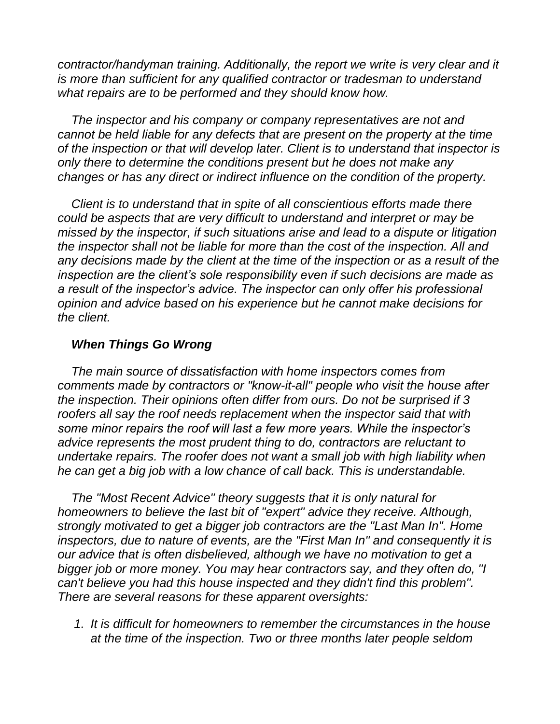*contractor/handyman training. Additionally, the report we write is very clear and it is more than sufficient for any qualified contractor or tradesman to understand what repairs are to be performed and they should know how.*

*The inspector and his company or company representatives are not and cannot be held liable for any defects that are present on the property at the time of the inspection or that will develop later. Client is to understand that inspector is only there to determine the conditions present but he does not make any changes or has any direct or indirect influence on the condition of the property.*

*Client is to understand that in spite of all conscientious efforts made there could be aspects that are very difficult to understand and interpret or may be missed by the inspector, if such situations arise and lead to a dispute or litigation the inspector shall not be liable for more than the cost of the inspection. All and any decisions made by the client at the time of the inspection or as a result of the inspection are the client's sole responsibility even if such decisions are made as a result of the inspector's advice. The inspector can only offer his professional opinion and advice based on his experience but he cannot make decisions for the client.*

#### *When Things Go Wrong*

*The main source of dissatisfaction with home inspectors comes from comments made by contractors or "know-it-all" people who visit the house after the inspection. Their opinions often differ from ours. Do not be surprised if 3 roofers all say the roof needs replacement when the inspector said that with some minor repairs the roof will last a few more years. While the inspector's advice represents the most prudent thing to do, contractors are reluctant to undertake repairs. The roofer does not want a small job with high liability when he can get a big job with a low chance of call back. This is understandable.*

*The "Most Recent Advice" theory suggests that it is only natural for homeowners to believe the last bit of "expert" advice they receive. Although, strongly motivated to get a bigger job contractors are the "Last Man In". Home inspectors, due to nature of events, are the "First Man In" and consequently it is our advice that is often disbelieved, although we have no motivation to get a bigger job or more money. You may hear contractors say, and they often do, "I can't believe you had this house inspected and they didn't find this problem". There are several reasons for these apparent oversights:*

*1. It is difficult for homeowners to remember the circumstances in the house at the time of the inspection. Two or three months later people seldom*